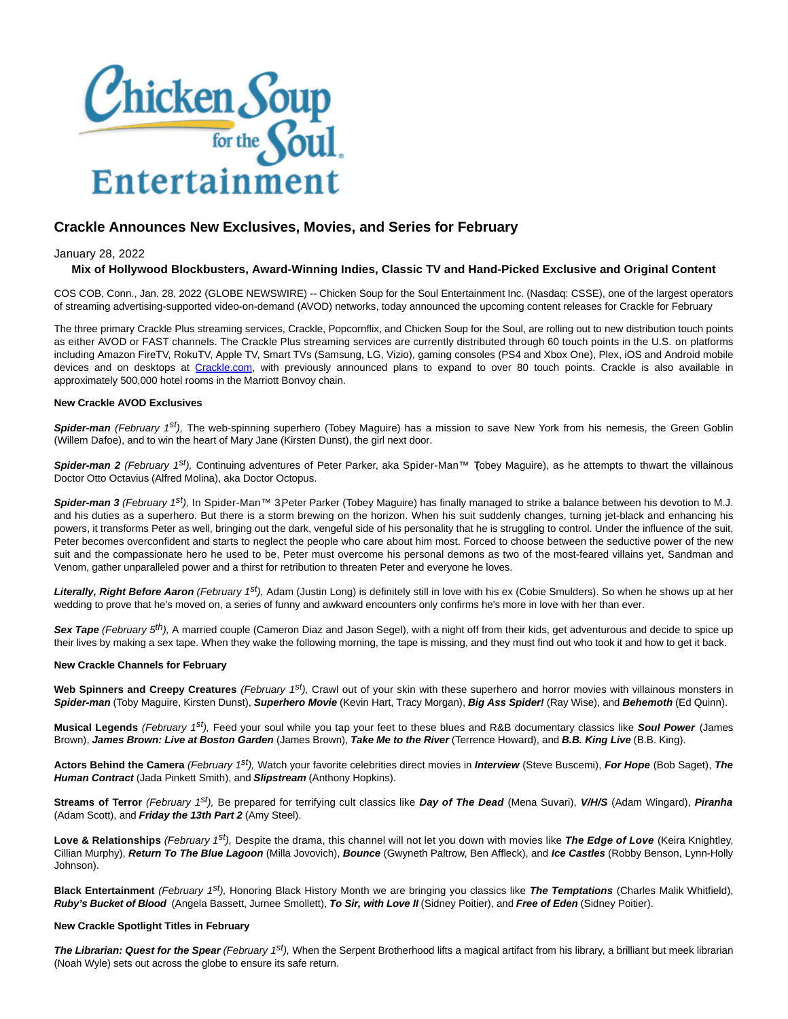

# **Crackle Announces New Exclusives, Movies, and Series for February**

January 28, 2022

# **Mix of Hollywood Blockbusters, Award-Winning Indies, Classic TV and Hand-Picked Exclusive and Original Content**

COS COB, Conn., Jan. 28, 2022 (GLOBE NEWSWIRE) -- Chicken Soup for the Soul Entertainment Inc. (Nasdaq: CSSE), one of the largest operators of streaming advertising-supported video-on-demand (AVOD) networks, today announced the upcoming content releases for Crackle for February

The three primary Crackle Plus streaming services, Crackle, Popcornflix, and Chicken Soup for the Soul, are rolling out to new distribution touch points as either AVOD or FAST channels. The Crackle Plus streaming services are currently distributed through 60 touch points in the U.S. on platforms including Amazon FireTV, RokuTV, Apple TV, Smart TVs (Samsung, LG, Vizio), gaming consoles (PS4 and Xbox One), Plex, iOS and Android mobile devices and on desktops at [Crackle.com,](https://www.globenewswire.com/Tracker?data=89Ge4Y6LrixYK2a20fpH72TLie8pcOmSmaBvNHgPhGWK4qKmzolQKNYQAWcqEykoT9zjZVXWqxVwLvnUqoNYeQ==) with previously announced plans to expand to over 80 touch points. Crackle is also available in approximately 500,000 hotel rooms in the Marriott Bonvoy chain.

## **New Crackle AVOD Exclusives**

**Spider-man** (February 1<sup>st</sup>), The web-spinning superhero (Tobey Maguire) has a mission to save New York from his nemesis, the Green Goblin (Willem Dafoe), and to win the heart of Mary Jane (Kirsten Dunst), the girl next door.

**Spider-man 2** (February 1<sup>st</sup>), Continuing adventures of Peter Parker, aka Spider-Man™ Tobey Maguire), as he attempts to thwart the villainous Doctor Otto Octavius (Alfred Molina), aka Doctor Octopus.

Spider-man 3 (February 1<sup>st</sup>), In Spider-Man™ 3Peter Parker (Tobey Maguire) has finally managed to strike a balance between his devotion to M.J. and his duties as a superhero. But there is a storm brewing on the horizon. When his suit suddenly changes, turning jet-black and enhancing his powers, it transforms Peter as well, bringing out the dark, vengeful side of his personality that he is struggling to control. Under the influence of the suit, Peter becomes overconfident and starts to neglect the people who care about him most. Forced to choose between the seductive power of the new suit and the compassionate hero he used to be, Peter must overcome his personal demons as two of the most-feared villains yet, Sandman and Venom, gather unparalleled power and a thirst for retribution to threaten Peter and everyone he loves.

**Literally, Right Before Aaron** (February 1<sup>st</sup>), Adam (Justin Long) is definitely still in love with his ex (Cobie Smulders). So when he shows up at her wedding to prove that he's moved on, a series of funny and awkward encounters only confirms he's more in love with her than ever.

Sex Tape (February 5<sup>th</sup>), A married couple (Cameron Diaz and Jason Segel), with a night off from their kids, get adventurous and decide to spice up their lives by making a sex tape. When they wake the following morning, the tape is missing, and they must find out who took it and how to get it back.

## **New Crackle Channels for February**

Web Spinners and Creepy Creatures (February 1<sup>st</sup>), Crawl out of your skin with these superhero and horror movies with villainous monsters in **Spider-man** (Toby Maguire, Kirsten Dunst), **Superhero Movie** (Kevin Hart, Tracy Morgan), **Big Ass Spider!** (Ray Wise), and **Behemoth** (Ed Quinn).

**Musical Legends** (February 1st), Feed your soul while you tap your feet to these blues and R&B documentary classics like **Soul Power** (James Brown), **James Brown: Live at Boston Garden** (James Brown), **Take Me to the River** (Terrence Howard), and **B.B. King Live** (B.B. King).

**Actors Behind the Camera** (February 1st), Watch your favorite celebrities direct movies in **Interview** (Steve Buscemi), **For Hope** (Bob Saget), **The Human Contract** (Jada Pinkett Smith), and **Slipstream** (Anthony Hopkins).

**Streams of Terror** (February 1st), Be prepared for terrifying cult classics like **Day of The Dead** (Mena Suvari), **V/H/S** (Adam Wingard), **Piranha** (Adam Scott), and **Friday the 13th Part 2** (Amy Steel).

**Love & Relationships** (February 1st), Despite the drama, this channel will not let you down with movies like **The Edge of Love** (Keira Knightley, Cillian Murphy), **Return To The Blue Lagoon** (Milla Jovovich), **Bounce** (Gwyneth Paltrow, Ben Affleck), and **Ice Castles** (Robby Benson, Lynn-Holly Johnson).

**Black Entertainment** (February 1st), Honoring Black History Month we are bringing you classics like **The Temptations** (Charles Malik Whitfield), **Ruby's Bucket of Blood** (Angela Bassett, Jurnee Smollett), **To Sir, with Love II** (Sidney Poitier), and **Free of Eden** (Sidney Poitier).

#### **New Crackle Spotlight Titles in February**

**The Librarian: Quest for the Spear** (February 1<sup>st</sup>), When the Serpent Brotherhood lifts a magical artifact from his library, a brilliant but meek librarian (Noah Wyle) sets out across the globe to ensure its safe return.